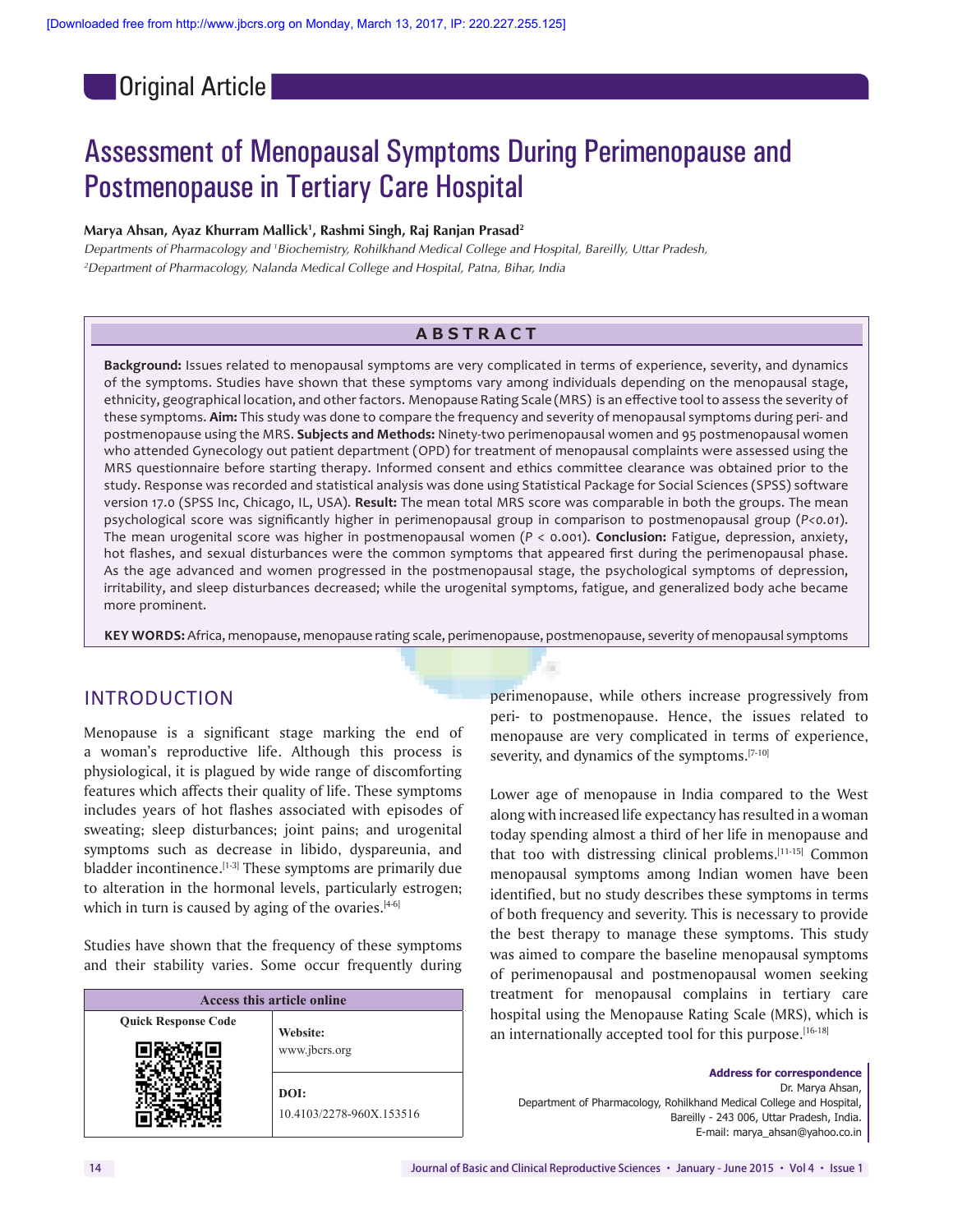**Original Article** 

# Assessment of Menopausal Symptoms During Perimenopause and Postmenopause in Tertiary Care Hospital

#### **Marya Ahsan, Ayaz Khurram Mallick1 , Rashmi Singh, Raj Ranjan Prasad2**

*Departments of Pharmacology and 1 Biochemistry, Rohilkhand Medical College and Hospital, Bareilly, Uttar Pradesh, 2 Department of Pharmacology, Nalanda Medical College and Hospital, Patna, Bihar, India*

### **ABSTRACT**

**Background:** Issues related to menopausal symptoms are very complicated in terms of experience, severity, and dynamics of the symptoms. Studies have shown that these symptoms vary among individuals depending on the menopausal stage, ethnicity, geographical location, and other factors. Menopause Rating Scale (MRS) is an effective toolto assess the severity of these symptoms. **Aim:** This study was done to compare the frequency and severity of menopausal symptoms during peri‑ and postmenopause using the MRS. **Subjects and Methods:** Ninety‑two perimenopausal women and 95 postmenopausal women who attended Gynecology out patient department (OPD) for treatment of menopausal complaints were assessed using the MRS questionnaire before starting therapy. Informed consent and ethics committee clearance was obtained prior to the study. Response was recorded and statistical analysis was done using Statistical Package for Social Sciences (SPSS) software version 17.0 (SPSS Inc, Chicago, IL, USA). **Result:** The mean total MRS score was comparable in both the groups. The mean psychological score was significantly higher in perimenopausal group in comparison to postmenopausal group (*P<0.01*). The mean urogenital score was higher in postmenopausal women (*P* < 0.001). **Conclusion:** Fatigue, depression, anxiety, hot flashes, and sexual disturbances were the common symptoms that appeared first during the perimenopausal phase. As the age advanced and women progressed in the postmenopausal stage, the psychological symptoms of depression, irritability, and sleep disturbances decreased; while the urogenital symptoms, fatigue, and generalized body ache became more prominent.

**KEY WORDS:** Africa, menopause, menopause rating scale, perimenopause, postmenopause, severity of menopausal symptoms

#### INTRODUCTION

Menopause is a significant stage marking the end of a woman's reproductive life. Although this process is physiological, it is plagued by wide range of discomforting features which affects their quality of life. These symptoms includes years of hot flashes associated with episodes of sweating; sleep disturbances; joint pains; and urogenital symptoms such as decrease in libido, dyspareunia, and bladder incontinence.<sup>[1-3]</sup> These symptoms are primarily due to alteration in the hormonal levels, particularly estrogen; which in turn is caused by aging of the ovaries. $[4-6]$ 

Studies have shown that the frequency of these symptoms and their stability varies. Some occur frequently during

| <b>Access this article online</b> |                                  |  |  |  |  |
|-----------------------------------|----------------------------------|--|--|--|--|
| <b>Quick Response Code</b>        | Website:                         |  |  |  |  |
|                                   | www.jbcrs.org                    |  |  |  |  |
|                                   | DOI:<br>10.4103/2278-960X.153516 |  |  |  |  |

perimenopause, while others increase progressively from peri- to postmenopause. Hence, the issues related to menopause are very complicated in terms of experience, severity, and dynamics of the symptoms.<sup>[7-10]</sup>

Lower age of menopause in India compared to the West along with increased life expectancy has resulted in a woman today spending almost a third of her life in menopause and that too with distressing clinical problems.[11‑15] Common menopausal symptoms among Indian women have been identified, but no study describes these symptoms in terms of both frequency and severity. This is necessary to provide the best therapy to manage these symptoms. This study was aimed to compare the baseline menopausal symptoms of perimenopausal and postmenopausal women seeking treatment for menopausal complains in tertiary care hospital using the Menopause Rating Scale (MRS), which is an internationally accepted tool for this purpose.[16-18]

**Address for correspondence**  Dr. Marya Ahsan, Department of Pharmacology, Rohilkhand Medical College and Hospital, Bareilly ‑ 243 006, Uttar Pradesh, India. E‑mail: marya\_ahsan@yahoo.co.in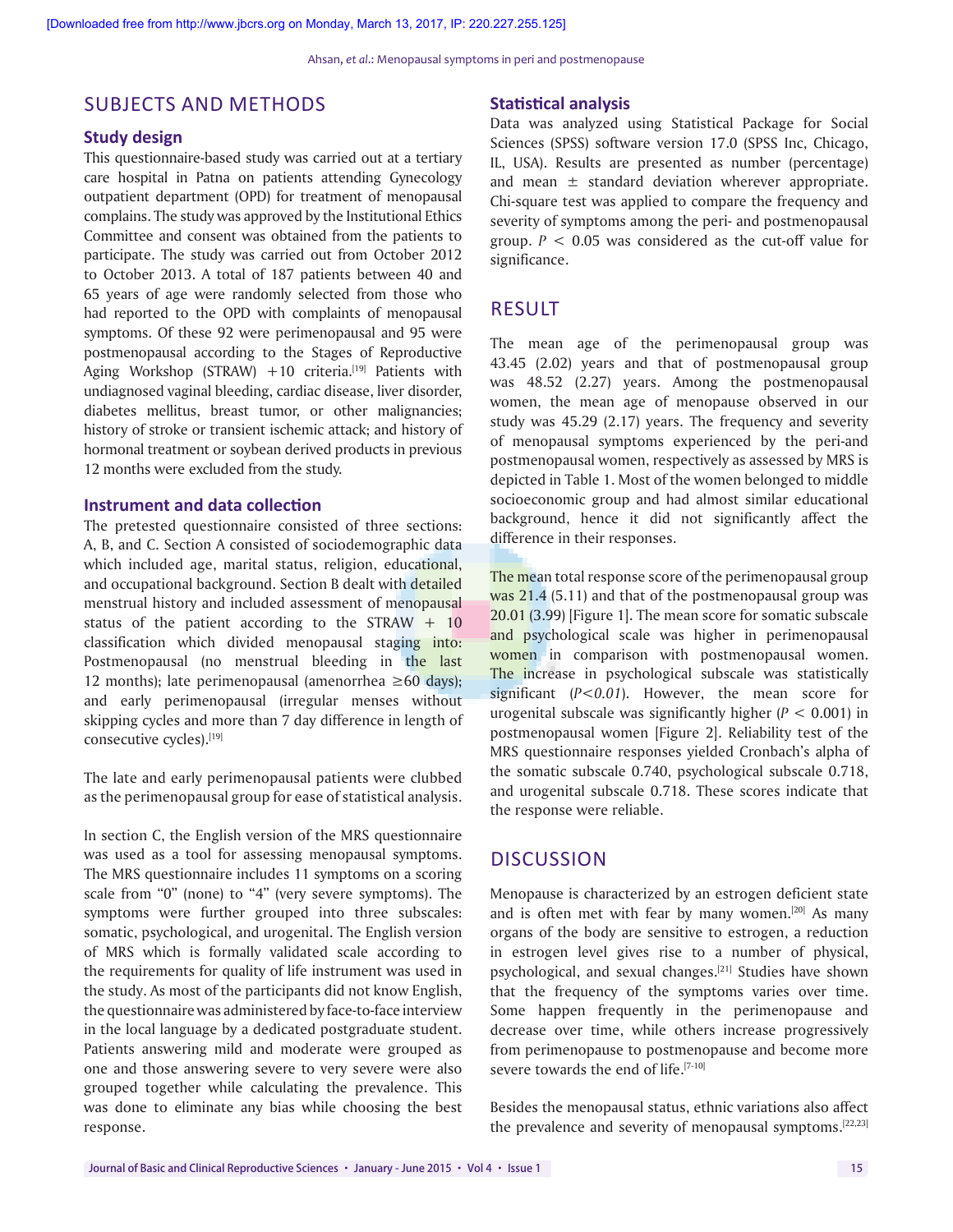## SUBJECTS AND METHODS

#### **Study design**

This questionnaire‑based study was carried out at a tertiary care hospital in Patna on patients attending Gynecology outpatient department (OPD) for treatment of menopausal complains. The study was approved by the Institutional Ethics Committee and consent was obtained from the patients to participate. The study was carried out from October 2012 to October 2013. A total of 187 patients between 40 and 65 years of age were randomly selected from those who had reported to the OPD with complaints of menopausal symptoms. Of these 92 were perimenopausal and 95 were postmenopausal according to the Stages of Reproductive Aging Workshop (STRAW) +10 criteria.<sup>[19]</sup> Patients with undiagnosed vaginal bleeding, cardiac disease, liver disorder, diabetes mellitus, breast tumor, or other malignancies; history of stroke or transient ischemic attack; and history of hormonal treatment or soybean derived products in previous 12 months were excluded from the study.

#### **Instrument and data collection**

The pretested questionnaire consisted of three sections: A, B, and C. Section A consisted of sociodemographic data which included age, marital status, religion, educational, and occupational background. Section B dealt with detailed menstrual history and included assessment of menopausal status of the patient according to the STRAW  $+$  10 classification which divided menopausal staging into: Postmenopausal (no menstrual bleeding in the last 12 months); late perimenopausal (amenorrhea  $\geq 60$  days); and early perimenopausal (irregular menses without skipping cycles and more than 7 day difference in length of consecutive cycles).[19]

The late and early perimenopausal patients were clubbed as the perimenopausal group for ease of statistical analysis.

In section C, the English version of the MRS questionnaire was used as a tool for assessing menopausal symptoms. The MRS questionnaire includes 11 symptoms on a scoring scale from "0" (none) to "4" (very severe symptoms). The symptoms were further grouped into three subscales: somatic, psychological, and urogenital. The English version of MRS which is formally validated scale according to the requirements for quality of life instrument was used in the study. As most of the participants did not know English, the questionnaire was administered by face‑to‑face interview in the local language by a dedicated postgraduate student. Patients answering mild and moderate were grouped as one and those answering severe to very severe were also grouped together while calculating the prevalence. This was done to eliminate any bias while choosing the best response.

#### **Statistical analysis**

Data was analyzed using Statistical Package for Social Sciences (SPSS) software version 17.0 (SPSS Inc, Chicago, IL, USA). Results are presented as number (percentage) and mean  $\pm$  standard deviation wherever appropriate. Chi‑square test was applied to compare the frequency and severity of symptoms among the peri- and postmenopausal group.  $P < 0.05$  was considered as the cut-off value for significance.

#### RESULT

The mean age of the perimenopausal group was 43.45 (2.02) years and that of postmenopausal group was 48.52 (2.27) years. Among the postmenopausal women, the mean age of menopause observed in our study was 45.29 (2.17) years. The frequency and severity of menopausal symptoms experienced by the peri-and postmenopausal women, respectively as assessed by MRS is depicted in Table 1. Most of the women belonged to middle socioeconomic group and had almost similar educational background, hence it did not significantly affect the difference in their responses.

The mean total response score of the perimenopausal group was 21.4 (5.11) and that of the postmenopausal group was 20.01 (3.99) [Figure 1]. The mean score for somatic subscale and psychological scale was higher in perimenopausal women in comparison with postmenopausal women. The increase in psychological subscale was statistically significant (*P<0.01*). However, the mean score for urogenital subscale was significantly higher (*P* < 0.001) in postmenopausal women [Figure 2]. Reliability test of the MRS questionnaire responses yielded Cronbach's alpha of the somatic subscale 0.740, psychological subscale 0.718, and urogenital subscale 0.718. These scores indicate that the response were reliable.

#### **DISCUSSION**

Menopause is characterized by an estrogen deficient state and is often met with fear by many women. $[20]$  As many organs of the body are sensitive to estrogen, a reduction in estrogen level gives rise to a number of physical, psychological, and sexual changes.[21] Studies have shown that the frequency of the symptoms varies over time. Some happen frequently in the perimenopause and decrease over time, while others increase progressively from perimenopause to postmenopause and become more severe towards the end of life.<sup>[7-10]</sup>

Besides the menopausal status, ethnic variations also affect the prevalence and severity of menopausal symptoms.[22,23]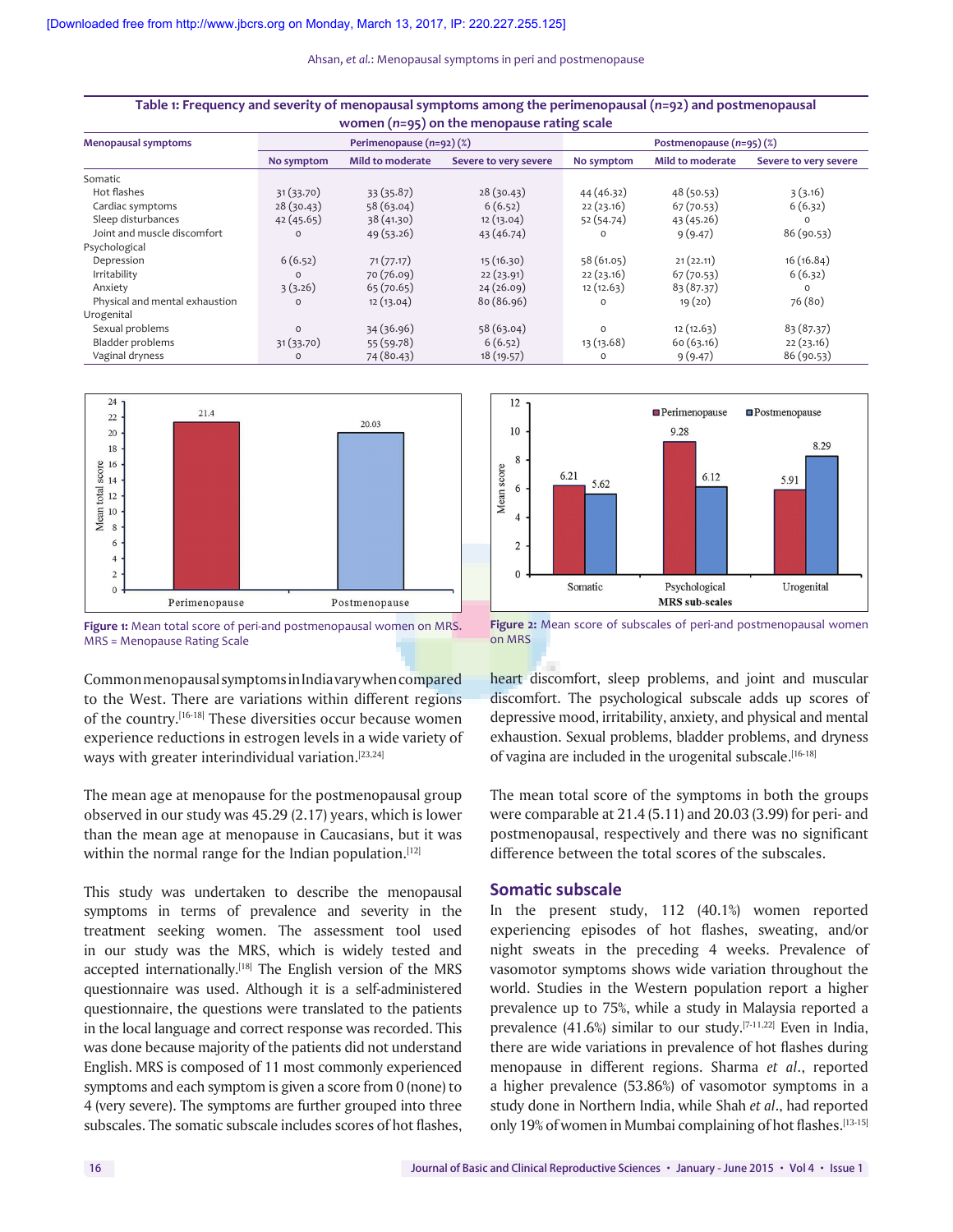| Table 1: Frequency and severity of menopausal symptoms among the perimenopausal $(n=92)$ and postmenopausal<br>women $(n=95)$ on the menopause rating scale |                          |                  |                       |                          |                         |                       |  |
|-------------------------------------------------------------------------------------------------------------------------------------------------------------|--------------------------|------------------|-----------------------|--------------------------|-------------------------|-----------------------|--|
| <b>Menopausal symptoms</b>                                                                                                                                  | Perimenopause (n=92) (%) |                  |                       | Postmenopause (n=95) (%) |                         |                       |  |
|                                                                                                                                                             | No symptom               | Mild to moderate | Severe to very severe | No symptom               | <b>Mild to moderate</b> | Severe to very severe |  |
| Somatic                                                                                                                                                     |                          |                  |                       |                          |                         |                       |  |
| Hot flashes                                                                                                                                                 | 31(33.70)                | 33(35.87)        | 28(30.43)             | 44 (46.32)               | 48(50.53)               | 3(3.16)               |  |
| Cardiac symptoms                                                                                                                                            | 28(30.43)                | 58 (63.04)       | 6(6.52)               | 22(23.16)                | 67 (70.53)              | 6(6.32)               |  |
| Sleep disturbances                                                                                                                                          | 42(45.65)                | 38 (41.30)       | 12(13.04)             | 52 (54.74)               | 43(45.26)               | $\Omega$              |  |
| Joint and muscle discomfort                                                                                                                                 | $\circ$                  | 49 (53.26)       | 43(46.74)             | $\circ$                  | 9(9.47)                 | 86 (90.53)            |  |
| Psychological                                                                                                                                               |                          |                  |                       |                          |                         |                       |  |
| Depression                                                                                                                                                  | 6(6.52)                  | 71(77.17)        | 15(16.30)             | 58 (61.05)               | 21(22.11)               | 16 (16.84)            |  |
| Irritability                                                                                                                                                | $\Omega$                 | 70 (76.09)       | 22(23.91)             | 22(23.16)                | 67(70.53)               | 6(6.32)               |  |
| Anxiety                                                                                                                                                     | 3(3.26)                  | 65(70.65)        | 24(26.09)             | 12(12.63)                | 83(87.37)               | $\Omega$              |  |
| Physical and mental exhaustion                                                                                                                              | $\Omega$                 | 12(13.04)        | 80(86.96)             | $\Omega$                 | 19(20)                  | 76 (80)               |  |
| Urogenital                                                                                                                                                  |                          |                  |                       |                          |                         |                       |  |
| Sexual problems                                                                                                                                             | $\circ$                  | 34 (36.96)       | 58(63.04)             | $\Omega$                 | 12(12.63)               | 83 (87.37)            |  |
| Bladder problems                                                                                                                                            | 31 (33.70)               | 55 (59.78)       | 6(6.52)               | 13 (13.68)               | 60(63.16)               | 22(23.16)             |  |
| Vaginal dryness                                                                                                                                             | $\circ$                  | 74 (80.43)       | 18 (19.57)            | $\circ$                  | 9(9.47)                 | 86 (90.53)            |  |



**Figure 1:** Mean total score of peri-and postmenopausal women on MRS. MRS = Menopause Rating Scale

Common menopausal symptoms in India vary when compared to the West. There are variations within different regions of the country.[16‑18] These diversities occur because women experience reductions in estrogen levels in a wide variety of ways with greater interindividual variation.<sup>[23,24]</sup>

The mean age at menopause for the postmenopausal group observed in our study was 45.29 (2.17) years, which is lower than the mean age at menopause in Caucasians, but it was within the normal range for the Indian population. $[12]$ 

This study was undertaken to describe the menopausal symptoms in terms of prevalence and severity in the treatment seeking women. The assessment tool used in our study was the MRS, which is widely tested and accepted internationally.<sup>[18]</sup> The English version of the MRS questionnaire was used. Although it is a self‑administered questionnaire, the questions were translated to the patients in the local language and correct response was recorded. This was done because majority of the patients did not understand English. MRS is composed of 11 most commonly experienced symptoms and each symptom is given a score from 0 (none) to 4 (very severe). The symptoms are further grouped into three subscales. The somatic subscale includes scores of hot flashes,



**Figure 2:** Mean score of subscales of peri-and postmenopausal women on MRS

heart discomfort, sleep problems, and joint and muscular discomfort. The psychological subscale adds up scores of depressive mood, irritability, anxiety, and physical and mental exhaustion. Sexual problems, bladder problems, and dryness of vagina are included in the urogenital subscale.<sup>[16-18]</sup>

The mean total score of the symptoms in both the groups were comparable at 21.4 (5.11) and 20.03 (3.99) for peri‑ and postmenopausal, respectively and there was no significant difference between the total scores of the subscales.

#### **Somatic subscale**

In the present study, 112 (40.1%) women reported experiencing episodes of hot flashes, sweating, and/or night sweats in the preceding 4 weeks. Prevalence of vasomotor symptoms shows wide variation throughout the world. Studies in the Western population report a higher prevalence up to 75%, while a study in Malaysia reported a prevalence (41.6%) similar to our study.<sup>[7-11,22]</sup> Even in India, there are wide variations in prevalence of hot flashes during menopause in different regions. Sharma *et al*., reported a higher prevalence (53.86%) of vasomotor symptoms in a study done in Northern India, while Shah *et al*., had reported only 19% of women in Mumbai complaining of hot flashes.<sup>[13-15]</sup>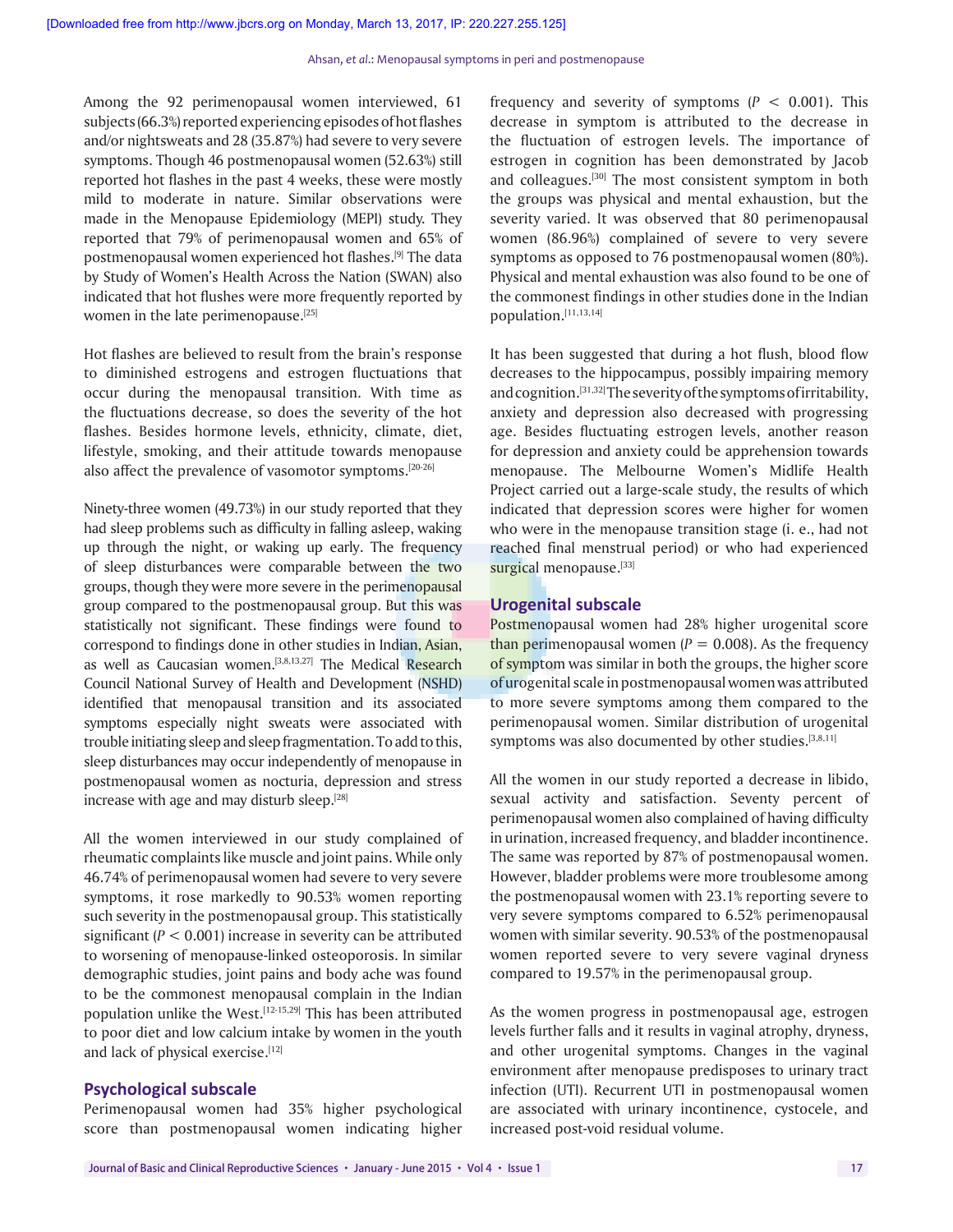Among the 92 perimenopausal women interviewed, 61 subjects(66.3%) reported experiencing episodes of hot flashes and/or nightsweats and 28 (35.87%) had severe to very severe symptoms. Though 46 postmenopausal women (52.63%) still reported hot flashes in the past 4 weeks, these were mostly mild to moderate in nature. Similar observations were made in the Menopause Epidemiology (MEPI) study. They reported that 79% of perimenopausal women and 65% of postmenopausal women experienced hot flashes.[9] The data by Study of Women's Health Across the Nation (SWAN) also indicated that hot flushes were more frequently reported by women in the late perimenopause.<sup>[25]</sup>

Hot flashes are believed to result from the brain's response to diminished estrogens and estrogen fluctuations that occur during the menopausal transition. With time as the fluctuations decrease, so does the severity of the hot flashes. Besides hormone levels, ethnicity, climate, diet, lifestyle, smoking, and their attitude towards menopause also affect the prevalence of vasomotor symptoms.<sup>[20-26]</sup>

Ninety-three women (49.73%) in our study reported that they had sleep problems such as difficulty in falling asleep, waking up through the night, or waking up early. The frequency of sleep disturbances were comparable between the two groups, though they were more severe in the perimenopausal group compared to the postmenopausal group. But this was statistically not significant. These findings were found to correspond to findings done in other studies in Indian, Asian, as well as Caucasian women.<sup>[3,8,13,27]</sup> The Medical Research Council National Survey of Health and Development (NSHD) identified that menopausal transition and its associated symptoms especially night sweats were associated with trouble initiating sleep and sleep fragmentation. To add to this, sleep disturbances may occur independently of menopause in postmenopausal women as nocturia, depression and stress increase with age and may disturb sleep.<sup>[28]</sup>

All the women interviewed in our study complained of rheumatic complaints like muscle and joint pains. While only 46.74% of perimenopausal women had severe to very severe symptoms, it rose markedly to 90.53% women reporting such severity in the postmenopausal group. This statistically significant (*P* < 0.001) increase in severity can be attributed to worsening of menopause-linked osteoporosis. In similar demographic studies, joint pains and body ache was found to be the commonest menopausal complain in the Indian population unlike the West.<sup>[12-15,29]</sup> This has been attributed to poor diet and low calcium intake by women in the youth and lack of physical exercise.[12]

#### **Psychological subscale**

Perimenopausal women had 35% higher psychological score than postmenopausal women indicating higher frequency and severity of symptoms  $(P < 0.001)$ . This decrease in symptom is attributed to the decrease in the fluctuation of estrogen levels. The importance of estrogen in cognition has been demonstrated by Jacob and colleagues.<sup>[30]</sup> The most consistent symptom in both the groups was physical and mental exhaustion, but the severity varied. It was observed that 80 perimenopausal women (86.96%) complained of severe to very severe symptoms as opposed to 76 postmenopausal women (80%). Physical and mental exhaustion was also found to be one of the commonest findings in other studies done in the Indian population.[11,13,14]

It has been suggested that during a hot flush, blood flow decreases to the hippocampus, possibly impairing memory and cognition.[31,32] The severity of the symptoms of irritability, anxiety and depression also decreased with progressing age. Besides fluctuating estrogen levels, another reason for depression and anxiety could be apprehension towards menopause. The Melbourne Women's Midlife Health Project carried out a large‑scale study, the results of which indicated that depression scores were higher for women who were in the menopause transition stage (i. e., had not reached final menstrual period) or who had experienced surgical menopause.[33]

#### **Urogenital subscale**

Postmenopausal women had 28% higher urogenital score than perimenopausal women  $(P = 0.008)$ . As the frequency of symptom was similar in both the groups, the higher score of urogenital scale in postmenopausal women was attributed to more severe symptoms among them compared to the perimenopausal women. Similar distribution of urogenital symptoms was also documented by other studies.<sup>[3,8,11]</sup>

All the women in our study reported a decrease in libido, sexual activity and satisfaction. Seventy percent of perimenopausal women also complained of having difficulty in urination, increased frequency, and bladder incontinence. The same was reported by 87% of postmenopausal women. However, bladder problems were more troublesome among the postmenopausal women with 23.1% reporting severe to very severe symptoms compared to 6.52% perimenopausal women with similar severity. 90.53% of the postmenopausal women reported severe to very severe vaginal dryness compared to 19.57% in the perimenopausal group.

As the women progress in postmenopausal age, estrogen levels further falls and it results in vaginal atrophy, dryness, and other urogenital symptoms. Changes in the vaginal environment after menopause predisposes to urinary tract infection (UTI). Recurrent UTI in postmenopausal women are associated with urinary incontinence, cystocele, and increased post‑void residual volume.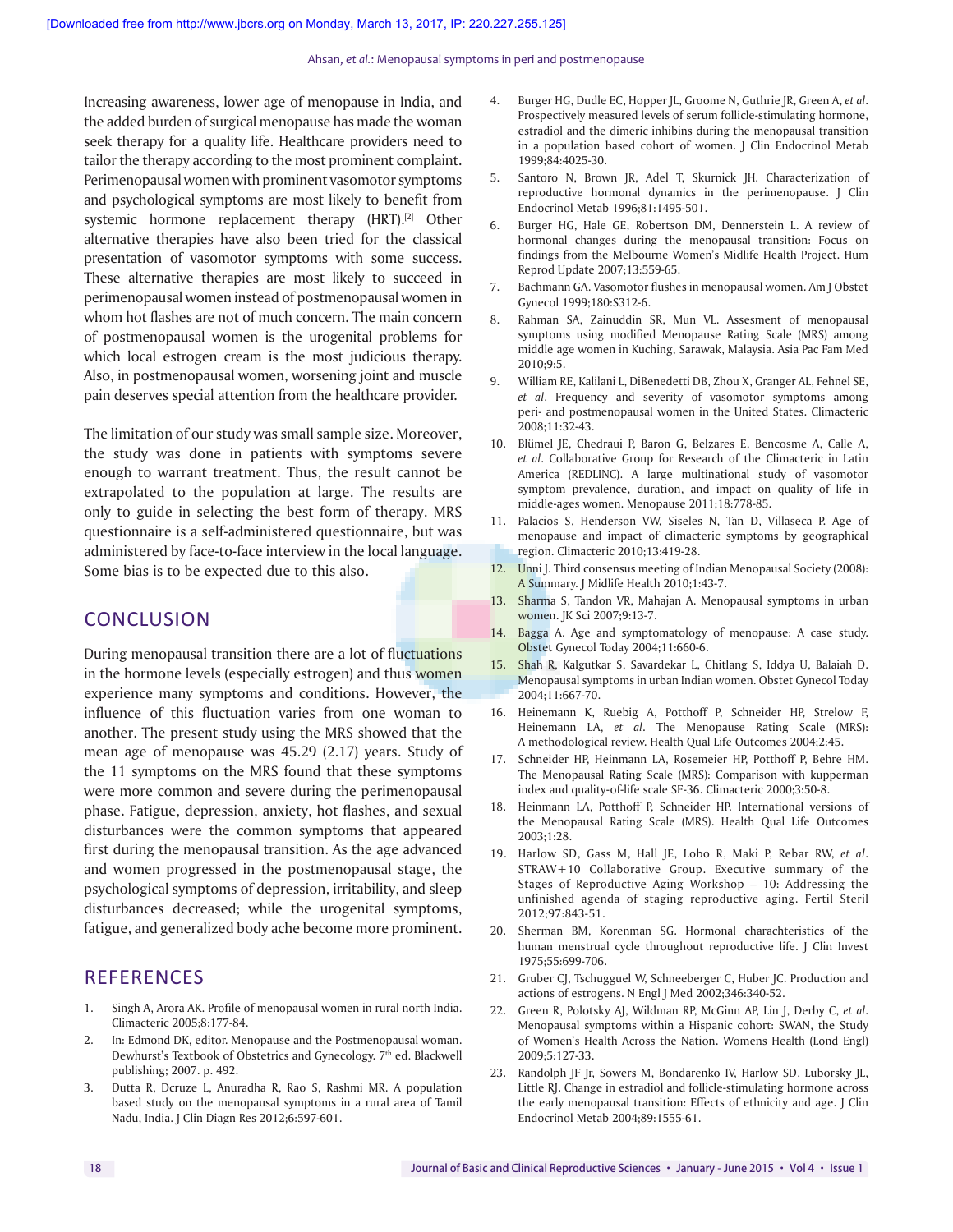Increasing awareness, lower age of menopause in India, and the added burden of surgical menopause has made the woman seek therapy for a quality life. Healthcare providers need to tailor the therapy according to the most prominent complaint. Perimenopausal women with prominent vasomotor symptoms and psychological symptoms are most likely to benefit from systemic hormone replacement therapy (HRT).<sup>[2]</sup> Other alternative therapies have also been tried for the classical presentation of vasomotor symptoms with some success. These alternative therapies are most likely to succeed in perimenopausal women instead of postmenopausal women in whom hot flashes are not of much concern. The main concern of postmenopausal women is the urogenital problems for which local estrogen cream is the most judicious therapy. Also, in postmenopausal women, worsening joint and muscle pain deserves special attention from the healthcare provider.

The limitation of our study was small sample size. Moreover, the study was done in patients with symptoms severe enough to warrant treatment. Thus, the result cannot be extrapolated to the population at large. The results are only to guide in selecting the best form of therapy. MRS questionnaire is a self‑administered questionnaire, but was administered by face-to-face interview in the local language. Some bias is to be expected due to this also.

#### **CONCLUSION**

During menopausal transition there are a lot of fluctuations in the hormone levels (especially estrogen) and thus women experience many symptoms and conditions. However, the influence of this fluctuation varies from one woman to another. The present study using the MRS showed that the mean age of menopause was 45.29 (2.17) years. Study of the 11 symptoms on the MRS found that these symptoms were more common and severe during the perimenopausal phase. Fatigue, depression, anxiety, hot flashes, and sexual disturbances were the common symptoms that appeared first during the menopausal transition. As the age advanced and women progressed in the postmenopausal stage, the psychological symptoms of depression, irritability, and sleep disturbances decreased; while the urogenital symptoms, fatigue, and generalized body ache become more prominent.

#### **REFERENCES**

- 1. Singh A, Arora AK. Profile of menopausal women in rural north India. Climacteric 2005;8:177‑84.
- 2. In: Edmond DK, editor. Menopause and the Postmenopausal woman. Dewhurst's Textbook of Obstetrics and Gynecology. 7<sup>th</sup> ed. Blackwell publishing; 2007. p. 492.
- 3. Dutta R, Dcruze L, Anuradha R, Rao S, Rashmi MR. A population based study on the menopausal symptoms in a rural area of Tamil Nadu, India. J Clin Diagn Res 2012;6:597‑601.
- 4. Burger HG, Dudle EC, Hopper JL, Groome N, Guthrie JR, Green A, *et al*. Prospectively measured levels of serum follicle‑stimulating hormone, estradiol and the dimeric inhibins during the menopausal transition in a population based cohort of women. J Clin Endocrinol Metab 1999;84:4025‑30.
- 5. Santoro N, Brown JR, Adel T, Skurnick JH. Characterization of reproductive hormonal dynamics in the perimenopause. J Clin Endocrinol Metab 1996;81:1495‑501.
- 6. Burger HG, Hale GE, Robertson DM, Dennerstein L. A review of hormonal changes during the menopausal transition: Focus on findings from the Melbourne Women's Midlife Health Project. Hum Reprod Update 2007;13:559‑65.
- 7. Bachmann GA. Vasomotor flushes in menopausal women. Am J Obstet Gynecol 1999;180:S312‑6.
- 8. Rahman SA, Zainuddin SR, Mun VL. Assesment of menopausal symptoms using modified Menopause Rating Scale (MRS) among middle age women in Kuching, Sarawak, Malaysia. Asia Pac Fam Med 2010;9:5.
- 9. William RE, Kalilani L, DiBenedetti DB, Zhou X, Granger AL, Fehnel SE, *et al*. Frequency and severity of vasomotor symptoms among peri‑ and postmenopausal women in the United States. Climacteric 2008;11:32‑43.
- 10. Blümel JE, Chedraui P, Baron G, Belzares E, Bencosme A, Calle A, *et al*. Collaborative Group for Research of the Climacteric in Latin America (REDLINC). A large multinational study of vasomotor symptom prevalence, duration, and impact on quality of life in middle‑ages women. Menopause 2011;18:778‑85.
- 11. Palacios S, Henderson VW, Siseles N, Tan D, Villaseca P. Age of menopause and impact of climacteric symptoms by geographical region. Climacteric 2010;13:419‑28.
- 12. Unni J. Third consensus meeting of Indian Menopausal Society (2008): A Summary. J Midlife Health 2010;1:43‑7.
- 13. Sharma S, Tandon VR, Mahajan A. Menopausal symptoms in urban women. JK Sci 2007;9:13‑7.
- 14. Bagga A. Age and symptomatology of menopause: A case study. Obstet Gynecol Today 2004;11:660-6.
- 15. Shah R, Kalgutkar S, Savardekar L, Chitlang S, Iddya U, Balaiah D. Menopausal symptoms in urban Indian women. Obstet Gynecol Today 2004;11:667‑70.
- 16. Heinemann K, Ruebig A, Potthoff P, Schneider HP, Strelow F, Heinemann LA, *et al*. The Menopause Rating Scale (MRS): A methodological review. Health Qual Life Outcomes 2004;2:45.
- 17. Schneider HP, Heinmann LA, Rosemeier HP, Potthoff P, Behre HM. The Menopausal Rating Scale (MRS): Comparison with kupperman index and quality-of-life scale SF-36. Climacteric 2000;3:50-8.
- 18. Heinmann LA, Potthoff P, Schneider HP. International versions of the Menopausal Rating Scale (MRS). Health Qual Life Outcomes 2003;1:28.
- 19. Harlow SD, Gass M, Hall JE, Lobo R, Maki P, Rebar RW, *et al*. STRAW+10 Collaborative Group. Executive summary of the Stages of Reproductive Aging Workshop – 10: Addressing the unfinished agenda of staging reproductive aging. Fertil Steril 2012;97:843‑51.
- 20. Sherman BM, Korenman SG. Hormonal charachteristics of the human menstrual cycle throughout reproductive life. J Clin Invest 1975;55:699‑706.
- 21. Gruber CJ, Tschugguel W, Schneeberger C, Huber JC. Production and actions of estrogens. N Engl J Med 2002;346:340‑52.
- 22. Green R, Polotsky AJ, Wildman RP, McGinn AP, Lin J, Derby C, *et al*. Menopausal symptoms within a Hispanic cohort: SWAN, the Study of Women's Health Across the Nation. Womens Health (Lond Engl) 2009;5:127‑33.
- 23. Randolph JF Jr, Sowers M, Bondarenko IV, Harlow SD, Luborsky JL, Little RJ. Change in estradiol and follicle-stimulating hormone across the early menopausal transition: Effects of ethnicity and age. J Clin Endocrinol Metab 2004;89:1555‑61.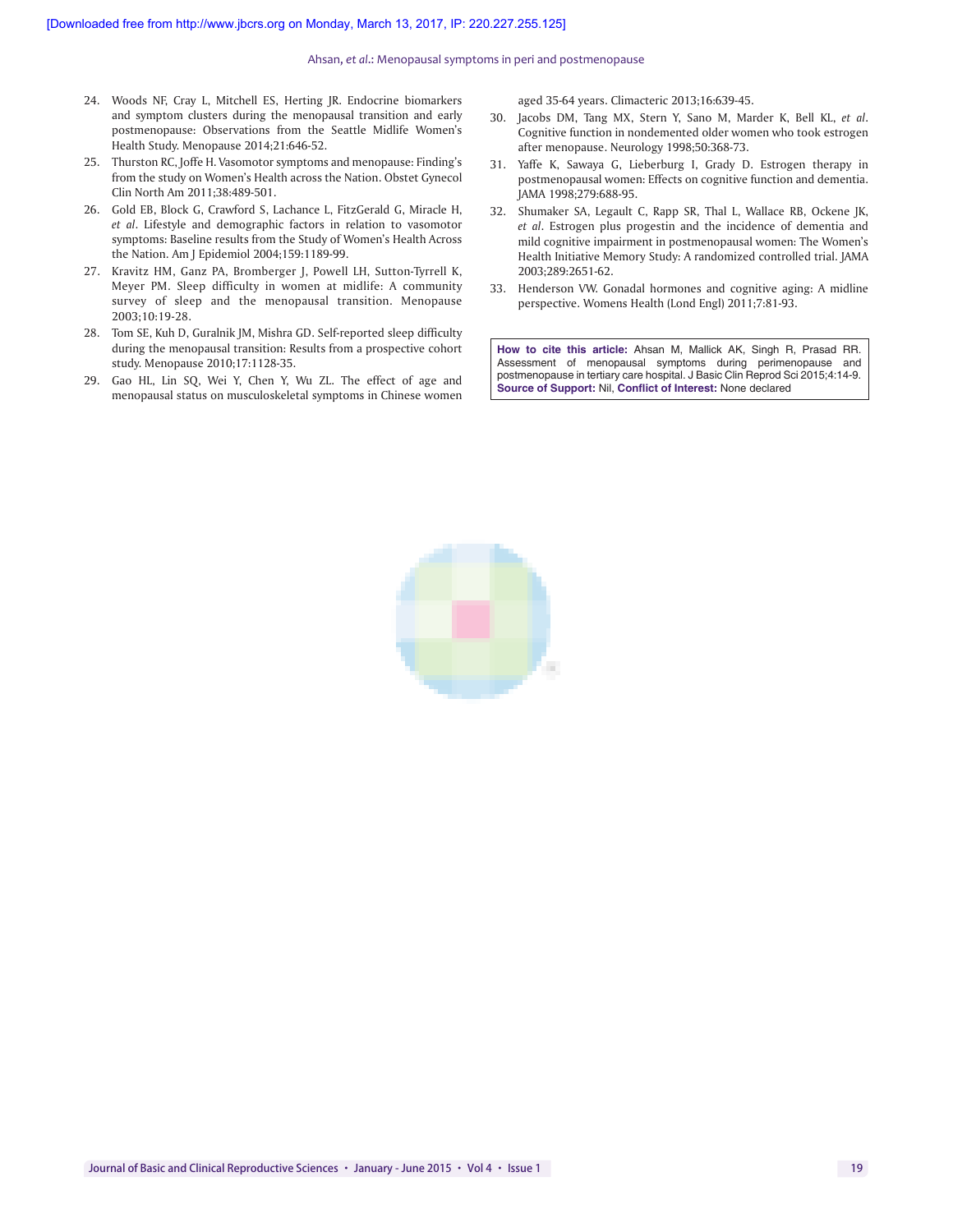- 24. Woods NF, Cray L, Mitchell ES, Herting JR. Endocrine biomarkers and symptom clusters during the menopausal transition and early postmenopause: Observations from the Seattle Midlife Women's Health Study. Menopause 2014;21:646‑52.
- 25. Thurston RC, Joffe H. Vasomotor symptoms and menopause: Finding's from the study on Women's Health across the Nation. Obstet Gynecol Clin North Am 2011;38:489‑501.
- 26. Gold EB, Block G, Crawford S, Lachance L, FitzGerald G, Miracle H, *et al*. Lifestyle and demographic factors in relation to vasomotor symptoms: Baseline results from the Study of Women's Health Across the Nation. Am J Epidemiol 2004;159:1189‑99.
- 27. Kravitz HM, Ganz PA, Bromberger J, Powell LH, Sutton‑Tyrrell K, Meyer PM. Sleep difficulty in women at midlife: A community survey of sleep and the menopausal transition. Menopause 2003;10:19‑28.
- 28. Tom SE, Kuh D, Guralnik JM, Mishra GD. Self-reported sleep difficulty during the menopausal transition: Results from a prospective cohort study. Menopause 2010;17:1128‑35.
- 29. Gao HL, Lin SQ, Wei Y, Chen Y, Wu ZL. The effect of age and menopausal status on musculoskeletal symptoms in Chinese women

aged 35‑64 years. Climacteric 2013;16:639‑45.

- 30. Jacobs DM, Tang MX, Stern Y, Sano M, Marder K, Bell KL, *et al*. Cognitive function in nondemented older women who took estrogen after menopause. Neurology 1998;50:368‑73.
- 31. Yaffe K, Sawaya G, Lieberburg I, Grady D. Estrogen therapy in postmenopausal women: Effects on cognitive function and dementia. JAMA 1998;279:688‑95.
- 32. Shumaker SA, Legault C, Rapp SR, Thal L, Wallace RB, Ockene JK, *et al*. Estrogen plus progestin and the incidence of dementia and mild cognitive impairment in postmenopausal women: The Women's Health Initiative Memory Study: A randomized controlled trial. JAMA 2003;289:2651‑62.
- 33. Henderson VW. Gonadal hormones and cognitive aging: A midline perspective. Womens Health (Lond Engl) 2011;7:81‑93.

**How to cite this article:** Ahsan M, Mallick AK, Singh R, Prasad RR. Assessment of menopausal symptoms during perimenopause and postmenopause in tertiary care hospital. J Basic Clin Reprod Sci 2015;4:14-9. **Source of Support:** Nil, **Conflict of Interest:** None declared